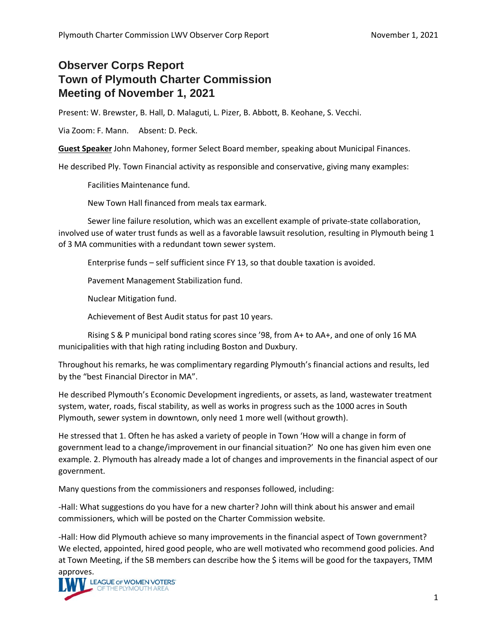## **Observer Corps Report Town of Plymouth Charter Commission Meeting of November 1, 2021**

Present: W. Brewster, B. Hall, D. Malaguti, L. Pizer, B. Abbott, B. Keohane, S. Vecchi.

Via Zoom: F. Mann. Absent: D. Peck.

**Guest Speaker** John Mahoney, former Select Board member, speaking about Municipal Finances.

He described Ply. Town Financial activity as responsible and conservative, giving many examples:

Facilities Maintenance fund.

New Town Hall financed from meals tax earmark.

Sewer line failure resolution, which was an excellent example of private-state collaboration, involved use of water trust funds as well as a favorable lawsuit resolution, resulting in Plymouth being 1 of 3 MA communities with a redundant town sewer system.

Enterprise funds – self sufficient since FY 13, so that double taxation is avoided.

Pavement Management Stabilization fund.

Nuclear Mitigation fund.

Achievement of Best Audit status for past 10 years.

Rising S & P municipal bond rating scores since '98, from A+ to AA+, and one of only 16 MA municipalities with that high rating including Boston and Duxbury.

Throughout his remarks, he was complimentary regarding Plymouth's financial actions and results, led by the "best Financial Director in MA".

He described Plymouth's Economic Development ingredients, or assets, as land, wastewater treatment system, water, roads, fiscal stability, as well as works in progress such as the 1000 acres in South Plymouth, sewer system in downtown, only need 1 more well (without growth).

He stressed that 1. Often he has asked a variety of people in Town 'How will a change in form of government lead to a change/improvement in our financial situation?' No one has given him even one example. 2. Plymouth has already made a lot of changes and improvements in the financial aspect of our government.

Many questions from the commissioners and responses followed, including:

-Hall: What suggestions do you have for a new charter? John will think about his answer and email commissioners, which will be posted on the Charter Commission website.

-Hall: How did Plymouth achieve so many improvements in the financial aspect of Town government? We elected, appointed, hired good people, who are well motivated who recommend good policies. And at Town Meeting, if the SB members can describe how the \$ items will be good for the taxpayers, TMM

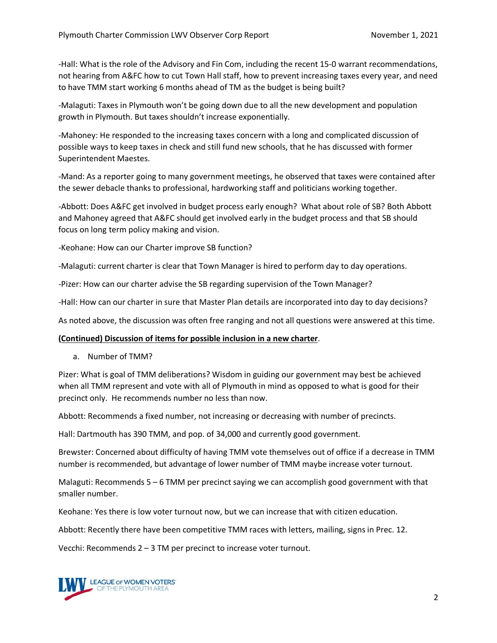-Hall: What is the role of the Advisory and Fin Com, including the recent 15-0 warrant recommendations, not hearing from A&FC how to cut Town Hall staff, how to prevent increasing taxes every year, and need to have TMM start working 6 months ahead of TM as the budget is being built?

-Malaguti: Taxes in Plymouth won't be going down due to all the new development and population growth in Plymouth. But taxes shouldn't increase exponentially.

-Mahoney: He responded to the increasing taxes concern with a long and complicated discussion of possible ways to keep taxes in check and still fund new schools, that he has discussed with former Superintendent Maestes.

-Mand: As a reporter going to many government meetings, he observed that taxes were contained after the sewer debacle thanks to professional, hardworking staff and politicians working together.

-Abbott: Does A&FC get involved in budget process early enough? What about role of SB? Both Abbott and Mahoney agreed that A&FC should get involved early in the budget process and that SB should focus on long term policy making and vision.

-Keohane: How can our Charter improve SB function?

-Malaguti: current charter is clear that Town Manager is hired to perform day to day operations.

-Pizer: How can our charter advise the SB regarding supervision of the Town Manager?

-Hall: How can our charter in sure that Master Plan details are incorporated into day to day decisions?

As noted above, the discussion was often free ranging and not all questions were answered at this time.

## **(Continued) Discussion of items for possible inclusion in a new charter**.

a. Number of TMM?

Pizer: What is goal of TMM deliberations? Wisdom in guiding our government may best be achieved when all TMM represent and vote with all of Plymouth in mind as opposed to what is good for their precinct only. He recommends number no less than now.

Abbott: Recommends a fixed number, not increasing or decreasing with number of precincts.

Hall: Dartmouth has 390 TMM, and pop. of 34,000 and currently good government.

Brewster: Concerned about difficulty of having TMM vote themselves out of office if a decrease in TMM number is recommended, but advantage of lower number of TMM maybe increase voter turnout.

Malaguti: Recommends 5 – 6 TMM per precinct saying we can accomplish good government with that smaller number.

Keohane: Yes there is low voter turnout now, but we can increase that with citizen education.

Abbott: Recently there have been competitive TMM races with letters, mailing, signs in Prec. 12.

Vecchi: Recommends 2 – 3 TM per precinct to increase voter turnout.

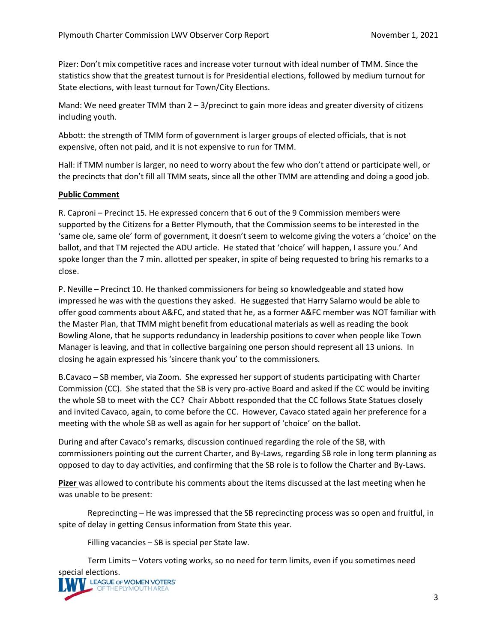Pizer: Don't mix competitive races and increase voter turnout with ideal number of TMM. Since the statistics show that the greatest turnout is for Presidential elections, followed by medium turnout for State elections, with least turnout for Town/City Elections.

Mand: We need greater TMM than  $2 - 3$ /precinct to gain more ideas and greater diversity of citizens including youth.

Abbott: the strength of TMM form of government is larger groups of elected officials, that is not expensive, often not paid, and it is not expensive to run for TMM.

Hall: if TMM number is larger, no need to worry about the few who don't attend or participate well, or the precincts that don't fill all TMM seats, since all the other TMM are attending and doing a good job.

## **Public Comment**

R. Caproni – Precinct 15. He expressed concern that 6 out of the 9 Commission members were supported by the Citizens for a Better Plymouth, that the Commission seems to be interested in the 'same ole, same ole' form of government, it doesn't seem to welcome giving the voters a 'choice' on the ballot, and that TM rejected the ADU article. He stated that 'choice' will happen, I assure you.' And spoke longer than the 7 min. allotted per speaker, in spite of being requested to bring his remarks to a close.

P. Neville – Precinct 10. He thanked commissioners for being so knowledgeable and stated how impressed he was with the questions they asked. He suggested that Harry Salarno would be able to offer good comments about A&FC, and stated that he, as a former A&FC member was NOT familiar with the Master Plan, that TMM might benefit from educational materials as well as reading the book Bowling Alone, that he supports redundancy in leadership positions to cover when people like Town Manager is leaving, and that in collective bargaining one person should represent all 13 unions. In closing he again expressed his 'sincere thank you' to the commissioners.

B.Cavaco – SB member, via Zoom. She expressed her support of students participating with Charter Commission (CC). She stated that the SB is very pro-active Board and asked if the CC would be inviting the whole SB to meet with the CC? Chair Abbott responded that the CC follows State Statues closely and invited Cavaco, again, to come before the CC. However, Cavaco stated again her preference for a meeting with the whole SB as well as again for her support of 'choice' on the ballot.

During and after Cavaco's remarks, discussion continued regarding the role of the SB, with commissioners pointing out the current Charter, and By-Laws, regarding SB role in long term planning as opposed to day to day activities, and confirming that the SB role is to follow the Charter and By-Laws.

**Pizer** was allowed to contribute his comments about the items discussed at the last meeting when he was unable to be present:

Reprecincting – He was impressed that the SB reprecincting process was so open and fruitful, in spite of delay in getting Census information from State this year.

Filling vacancies – SB is special per State law.

Term Limits – Voters voting works, so no need for term limits, even if you sometimes need